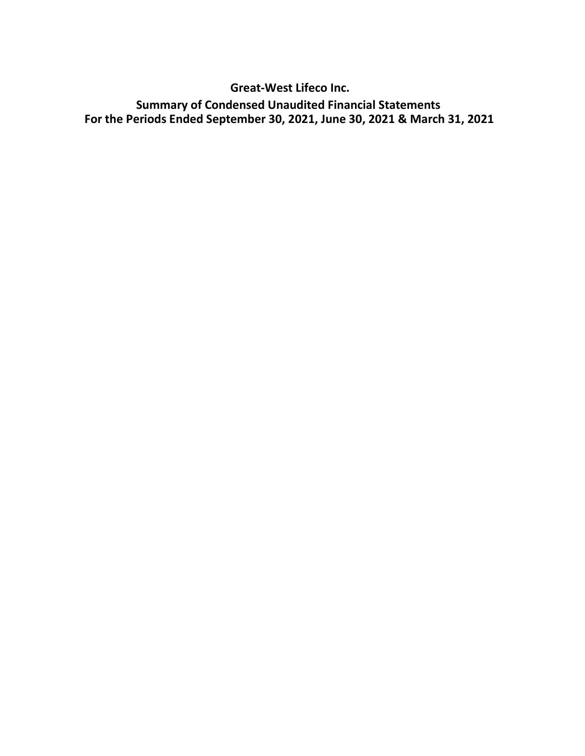Great-West Lifeco Inc. Summary of Condensed Unaudited Financial Statements For the Periods Ended September 30, 2021, June 30, 2021 & March 31, 2021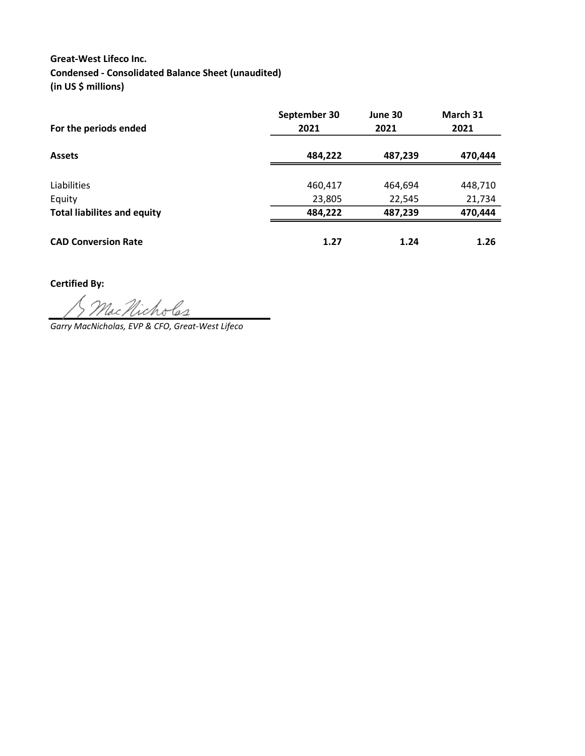## Great-West Lifeco Inc. Condensed - Consolidated Balance Sheet (unaudited) (in US \$ millions)

| For the periods ended              | September 30<br>2021 | June 30<br>2021 | March 31<br>2021 |
|------------------------------------|----------------------|-----------------|------------------|
| <b>Assets</b>                      | 484,222              | 487,239         | 470,444          |
| Liabilities                        | 460,417              | 464,694         | 448,710          |
| Equity                             | 23,805               | 22,545          | 21,734           |
| <b>Total liabilites and equity</b> | 484,222              | 487,239         | 470,444          |
| <b>CAD Conversion Rate</b>         | 1.27                 | 1.24            | 1.26             |

Certified By:

Garry MacNicholas, EVP & CFO, Great-West Lifeco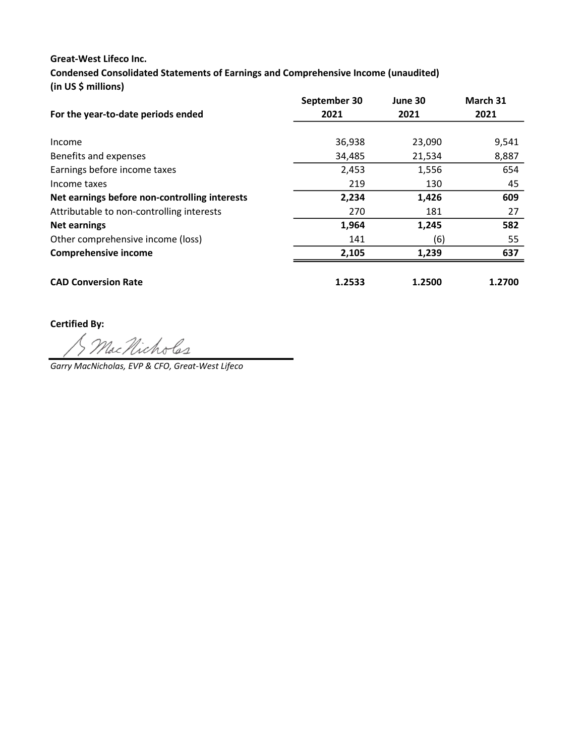## Great-West Lifeco Inc.

Condensed Consolidated Statements of Earnings and Comprehensive Income (unaudited) (in US \$ millions)

|                                               | September 30 | June 30 | March 31 |
|-----------------------------------------------|--------------|---------|----------|
| For the year-to-date periods ended            | 2021         | 2021    | 2021     |
|                                               |              |         |          |
| Income                                        | 36,938       | 23,090  | 9,541    |
| Benefits and expenses                         | 34,485       | 21,534  | 8,887    |
| Earnings before income taxes                  | 2,453        | 1,556   | 654      |
| Income taxes                                  | 219          | 130     | 45       |
| Net earnings before non-controlling interests | 2,234        | 1,426   | 609      |
| Attributable to non-controlling interests     | 270          | 181     | 27       |
| <b>Net earnings</b>                           | 1,964        | 1,245   | 582      |
| Other comprehensive income (loss)             | 141          | (6)     | 55       |
| <b>Comprehensive income</b>                   | 2,105        | 1,239   | 637      |
|                                               |              |         |          |
| <b>CAD Conversion Rate</b>                    | 1.2533       | 1.2500  | 1.2700   |

Certified By:

MacNicholes

Garry MacNicholas, EVP & CFO, Great-West Lifeco